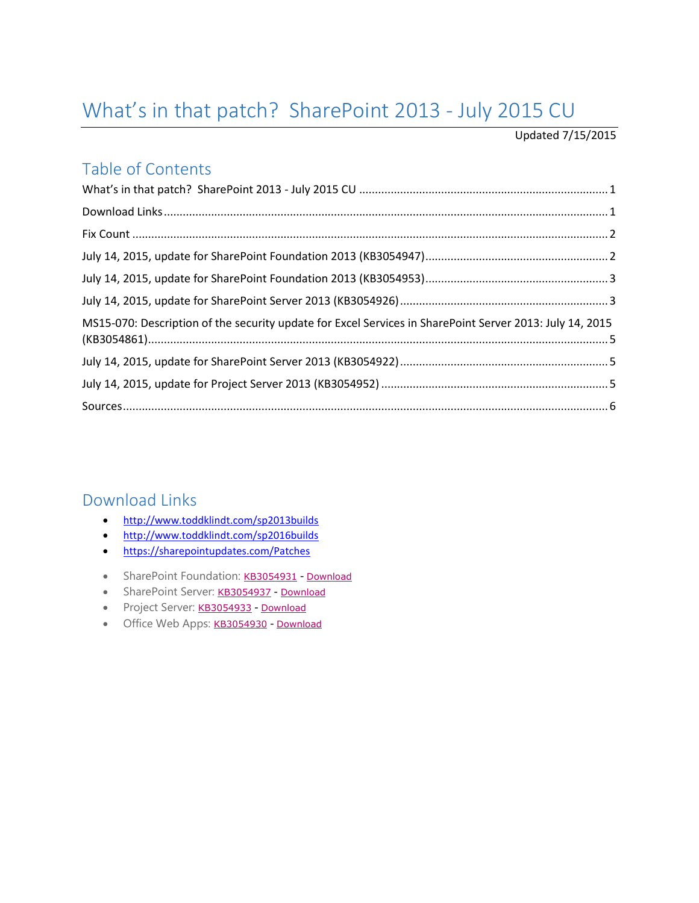# <span id="page-0-0"></span>What's in that patch? SharePoint 2013 - July 2015 CU

#### Updated 7/15/2015

#### Table of Contents

| MS15-070: Description of the security update for Excel Services in SharePoint Server 2013: July 14, 2015 |  |
|----------------------------------------------------------------------------------------------------------|--|
|                                                                                                          |  |
|                                                                                                          |  |
|                                                                                                          |  |

#### <span id="page-0-1"></span>Download Links

- <http://www.toddklindt.com/sp2013builds>
- <http://www.toddklindt.com/sp2016builds>
- <https://sharepointupdates.com/Patches>
- SharePoint Foundation: [KB3054931](http://support.microsoft.com/kb/3054931) [Download](https://www.microsoft.com/en-us/download/details.aspx?id=48083)
- SharePoint Server: [KB3054937](http://support.microsoft.com/KB/3054937) [Download](https://www.microsoft.com/en-us/download/details.aspx?id=48109)
- Project Server: [KB3054933](http://support.microsoft.com/kb/3054933) [Download](https://www.microsoft.com/en-us/download/details.aspx?id=48075)
- Office Web Apps: [KB3054930](http://support.microsoft.com/KB/3054930) [Download](https://www.microsoft.com/en-us/download/details.aspx?id=48052)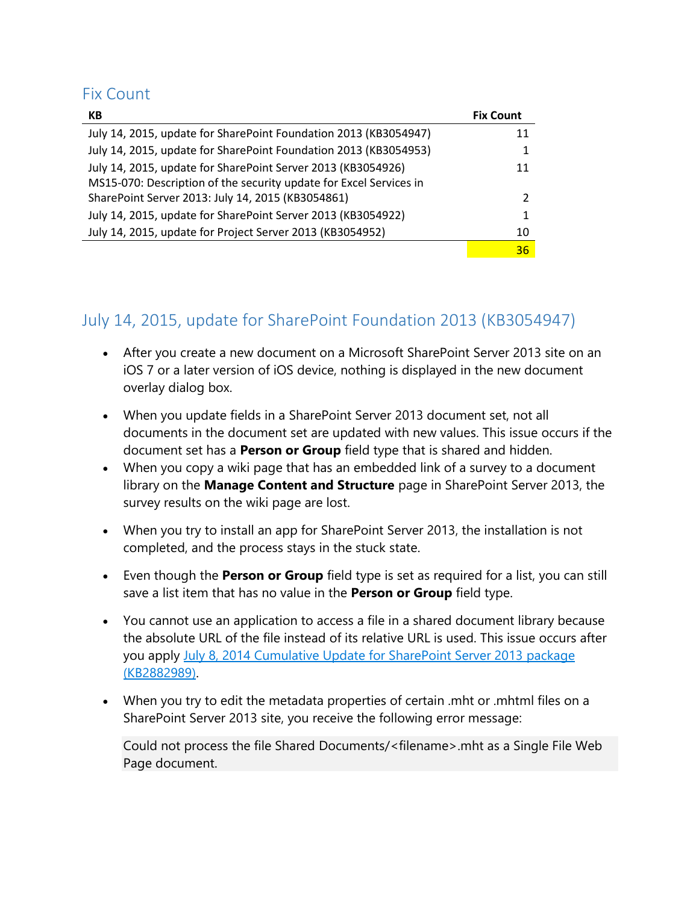#### <span id="page-1-0"></span>Fix Count

| КB                                                                 | <b>Fix Count</b> |
|--------------------------------------------------------------------|------------------|
| July 14, 2015, update for SharePoint Foundation 2013 (KB3054947)   | 11               |
| July 14, 2015, update for SharePoint Foundation 2013 (KB3054953)   | 1                |
| July 14, 2015, update for SharePoint Server 2013 (KB3054926)       | 11               |
| MS15-070: Description of the security update for Excel Services in |                  |
| SharePoint Server 2013: July 14, 2015 (KB3054861)                  | 2                |
| July 14, 2015, update for SharePoint Server 2013 (KB3054922)       | 1                |
| July 14, 2015, update for Project Server 2013 (KB3054952)          | 10               |
|                                                                    | 36               |

## <span id="page-1-1"></span>July 14, 2015, update for SharePoint Foundation 2013 (KB3054947)

- After you create a new document on a Microsoft SharePoint Server 2013 site on an iOS 7 or a later version of iOS device, nothing is displayed in the new document overlay dialog box.
- When you update fields in a SharePoint Server 2013 document set, not all documents in the document set are updated with new values. This issue occurs if the document set has a **Person or Group** field type that is shared and hidden.
- When you copy a wiki page that has an embedded link of a survey to a document library on the **Manage Content and Structure** page in SharePoint Server 2013, the survey results on the wiki page are lost.
- When you try to install an app for SharePoint Server 2013, the installation is not completed, and the process stays in the stuck state.
- Even though the **Person or Group** field type is set as required for a list, you can still save a list item that has no value in the **Person or Group** field type.
- You cannot use an application to access a file in a shared document library because the absolute URL of the file instead of its relative URL is used. This issue occurs after you apply [July 8, 2014 Cumulative Update for SharePoint Server 2013 package](https://support.microsoft.com/en-us/kb/2882989)  [\(KB2882989\).](https://support.microsoft.com/en-us/kb/2882989)
- When you try to edit the metadata properties of certain .mht or .mhtml files on a SharePoint Server 2013 site, you receive the following error message:

Could not process the file Shared Documents/<filename>.mht as a Single File Web Page document.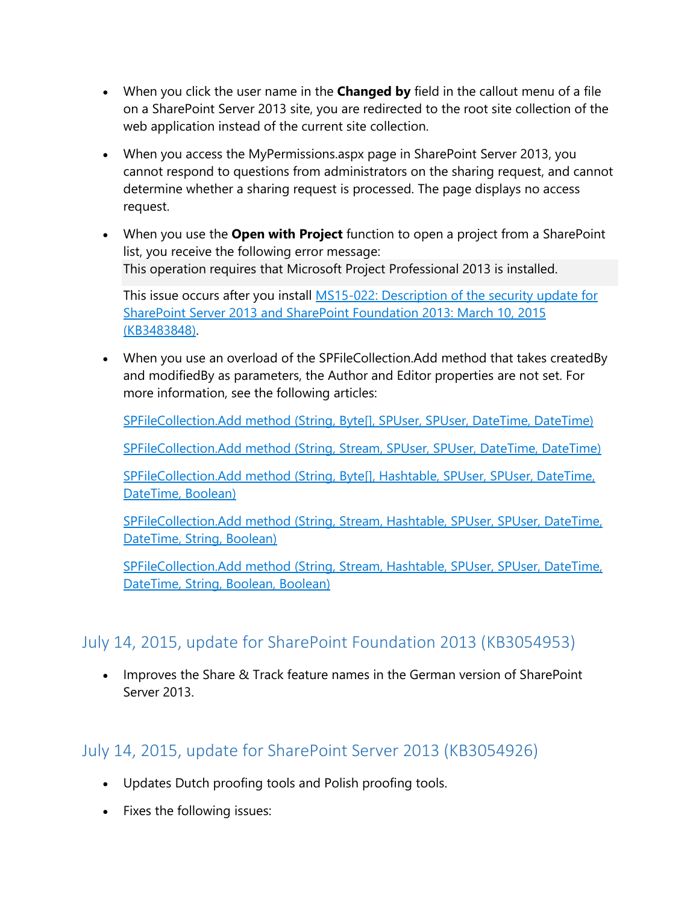- When you click the user name in the **Changed by** field in the callout menu of a file on a SharePoint Server 2013 site, you are redirected to the root site collection of the web application instead of the current site collection.
- When you access the MyPermissions.aspx page in SharePoint Server 2013, you cannot respond to questions from administrators on the sharing request, and cannot determine whether a sharing request is processed. The page displays no access request.
- When you use the **Open with Project** function to open a project from a SharePoint list, you receive the following error message: This operation requires that Microsoft Project Professional 2013 is installed.

This issue occurs after you install MS15-022: Description of the security update for [SharePoint Server 2013 and SharePoint Foundation 2013: March 10, 2015](https://support.microsoft.com/en-us/kb/3483848)  [\(KB3483848\).](https://support.microsoft.com/en-us/kb/3483848)

 When you use an overload of the SPFileCollection.Add method that takes createdBy and modifiedBy as parameters, the Author and Editor properties are not set. For more information, see the following articles:

[SPFileCollection.Add method \(String, Byte\[\], SPUser, SPUser, DateTime, DateTime\)](https://msdn.microsoft.com/EN-US/library/ms439259.aspx)

[SPFileCollection.Add method \(String, Stream, SPUser, SPUser, DateTime, DateTime\)](https://msdn.microsoft.com/EN-US/library/ms448353.aspx)

[SPFileCollection.Add method \(String, Byte\[\], Hashtable, SPUser, SPUser, DateTime,](https://msdn.microsoft.com/EN-US/library/ee577940.aspx)  [DateTime, Boolean\)](https://msdn.microsoft.com/EN-US/library/ee577940.aspx)

[SPFileCollection.Add method \(String, Stream, Hashtable, SPUser, SPUser, DateTime,](https://msdn.microsoft.com/EN-US/library/ee576592.aspx)  [DateTime, String, Boolean\)](https://msdn.microsoft.com/EN-US/library/ee576592.aspx)

[SPFileCollection.Add method \(String, Stream, Hashtable, SPUser, SPUser, DateTime,](https://msdn.microsoft.com/EN-US/library/ee570079.aspx)  [DateTime, String, Boolean, Boolean\)](https://msdn.microsoft.com/EN-US/library/ee570079.aspx)

## <span id="page-2-0"></span>July 14, 2015, update for SharePoint Foundation 2013 (KB3054953)

• Improves the Share & Track feature names in the German version of SharePoint Server 2013.

## <span id="page-2-1"></span>July 14, 2015, update for SharePoint Server 2013 (KB3054926)

- Updates Dutch proofing tools and Polish proofing tools.
- Fixes the following issues: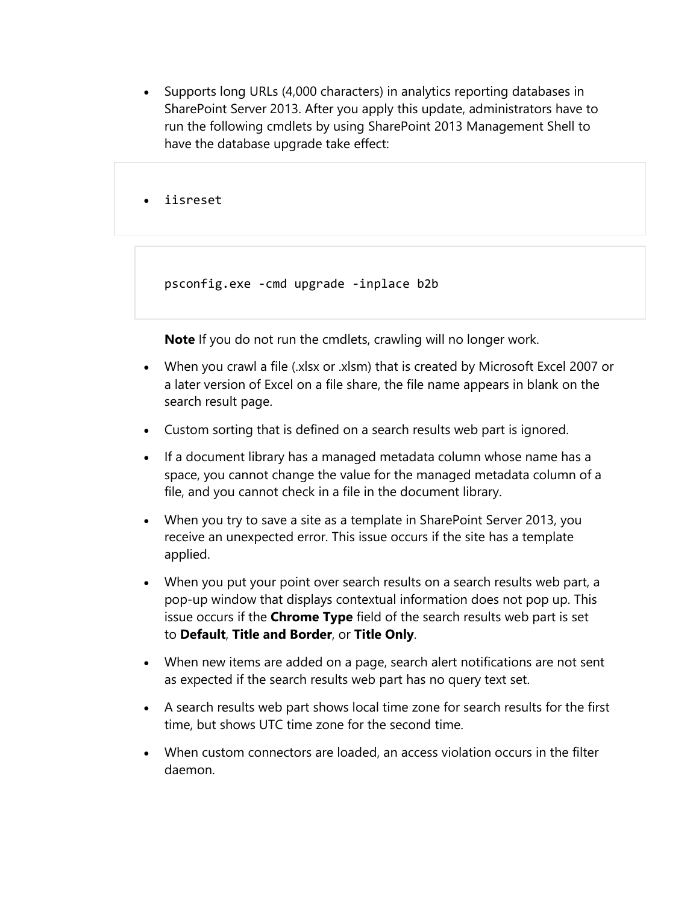• Supports long URLs (4,000 characters) in analytics reporting databases in SharePoint Server 2013. After you apply this update, administrators have to run the following cmdlets by using SharePoint 2013 Management Shell to have the database upgrade take effect:

iisreset

psconfig.exe -cmd upgrade -inplace b2b

**Note** If you do not run the cmdlets, crawling will no longer work.

- When you crawl a file (.xlsx or .xlsm) that is created by Microsoft Excel 2007 or a later version of Excel on a file share, the file name appears in blank on the search result page.
- Custom sorting that is defined on a search results web part is ignored.
- If a document library has a managed metadata column whose name has a space, you cannot change the value for the managed metadata column of a file, and you cannot check in a file in the document library.
- When you try to save a site as a template in SharePoint Server 2013, you receive an unexpected error. This issue occurs if the site has a template applied.
- When you put your point over search results on a search results web part, a pop-up window that displays contextual information does not pop up. This issue occurs if the **Chrome Type** field of the search results web part is set to **Default**, **Title and Border**, or **Title Only**.
- When new items are added on a page, search alert notifications are not sent as expected if the search results web part has no query text set.
- A search results web part shows local time zone for search results for the first time, but shows UTC time zone for the second time.
- When custom connectors are loaded, an access violation occurs in the filter daemon.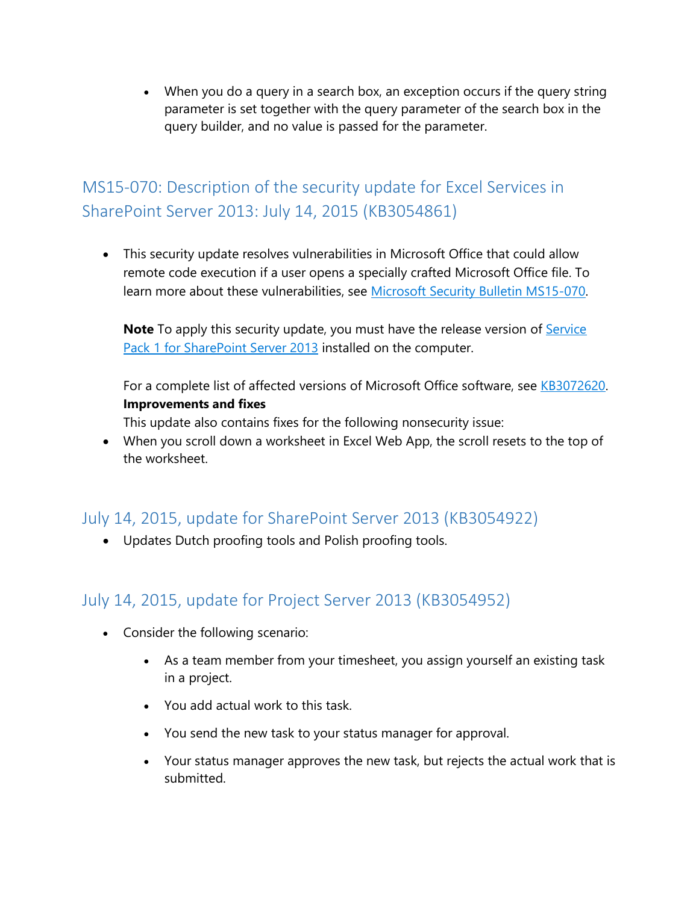When you do a query in a search box, an exception occurs if the query string parameter is set together with the query parameter of the search box in the query builder, and no value is passed for the parameter.

# <span id="page-4-0"></span>MS15-070: Description of the security update for Excel Services in SharePoint Server 2013: July 14, 2015 (KB3054861)

 This security update resolves vulnerabilities in Microsoft Office that could allow remote code execution if a user opens a specially crafted Microsoft Office file. To learn more about these vulnerabilities, see [Microsoft Security Bulletin MS15-070.](https://technet.microsoft.com/library/security/MS15-070)

**Note** To apply this security update, you must have the release version of **Service** [Pack 1 for SharePoint Server 2013](https://support.microsoft.com/en-us/kb/2880552) installed on the computer.

For a complete list of affected versions of Microsoft Office software, see [KB3072620.](https://support.microsoft.com/en-us/kb/3072620) **Improvements and fixes**

This update also contains fixes for the following nonsecurity issue:

 When you scroll down a worksheet in Excel Web App, the scroll resets to the top of the worksheet.

#### <span id="page-4-1"></span>July 14, 2015, update for SharePoint Server 2013 (KB3054922)

Updates Dutch proofing tools and Polish proofing tools.

## <span id="page-4-2"></span>July 14, 2015, update for Project Server 2013 (KB3054952)

- Consider the following scenario:
	- As a team member from your timesheet, you assign yourself an existing task in a project.
	- You add actual work to this task.
	- You send the new task to your status manager for approval.
	- Your status manager approves the new task, but rejects the actual work that is submitted.